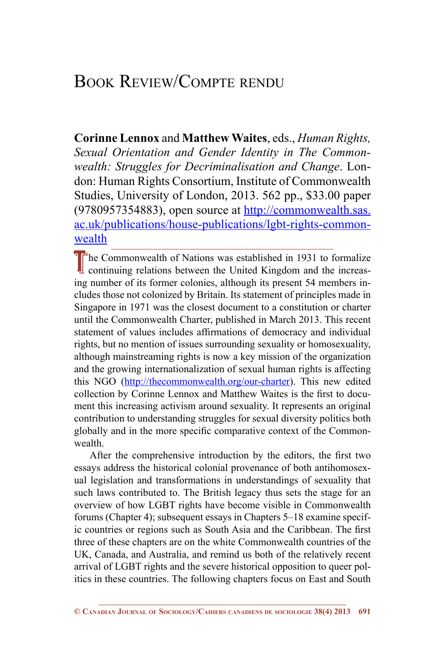## Book Review/Compte rendu

**Corinne Lennox** and **Matthew Waites**, eds., *Human Rights, Sexual Orientation and Gender Identity in The Commonwealth: Struggles for Decriminalisation and Change*. London: Human Rights Consortium, Institute of Commonwealth Studies, University of London, 2013. 562 pp., \$33.00 paper (9780957354883), open source at [http://commonwealth.sas.](http://commonwealth.sas.ac.uk/publications/house-publications/lgbt-rights-commonwealth) [ac.uk/publications/house-publications/lgbt-rights-common](http://commonwealth.sas.ac.uk/publications/house-publications/lgbt-rights-commonwealth)[wealth](http://commonwealth.sas.ac.uk/publications/house-publications/lgbt-rights-commonwealth)

The Commonwealth of Nations was established in 1931 to formalize continuing relations between the United Kingdom and the increasing number of its former colonies, although its present 54 members includes those not colonized by Britain. Its statement of principles made in Singapore in 1971 was the closest document to a constitution or charter until the Commonwealth Charter, published in March 2013. This recent statement of values includes affirmations of democracy and individual rights, but no mention of issues surrounding sexuality or homosexuality, although mainstreaming rights is now a key mission of the organization and the growing internationalization of sexual human rights is affecting this NGO (<http://thecommonwealth.org/our-charter>). This new edited collection by Corinne Lennox and Matthew Waites is the first to document this increasing activism around sexuality. It represents an original contribution to understanding struggles for sexual diversity politics both globally and in the more specific comparative context of the Commonwealth.

After the comprehensive introduction by the editors, the first two essays address the historical colonial provenance of both antihomosexual legislation and transformations in understandings of sexuality that such laws contributed to. The British legacy thus sets the stage for an overview of how LGBT rights have become visible in Commonwealth forums (Chapter 4); subsequent essays in Chapters 5–18 examine specific countries or regions such as South Asia and the Caribbean. The first three of these chapters are on the white Commonwealth countries of the UK, Canada, and Australia, and remind us both of the relatively recent arrival of LGBT rights and the severe historical opposition to queer politics in these countries. The following chapters focus on East and South

**<sup>©</sup> Canadian Journal of Sociology/Cahiers canadiens de sociologie 38(4) 2013 691**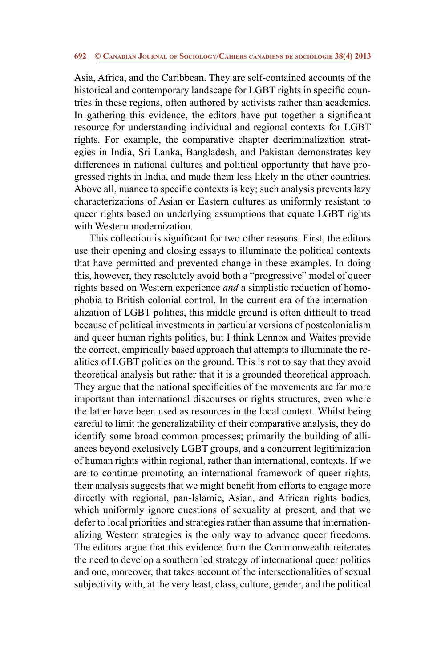## **692 © Canadian Journal of Sociology/Cahiers canadiens de sociologie 38(4) 2013**

Asia, Africa, and the Caribbean. They are self-contained accounts of the historical and contemporary landscape for LGBT rights in specific countries in these regions, often authored by activists rather than academics. In gathering this evidence, the editors have put together a significant resource for understanding individual and regional contexts for LGBT rights. For example, the comparative chapter decriminalization strategies in India, Sri Lanka, Bangladesh, and Pakistan demonstrates key differences in national cultures and political opportunity that have progressed rights in India, and made them less likely in the other countries. Above all, nuance to specific contexts is key; such analysis prevents lazy characterizations of Asian or Eastern cultures as uniformly resistant to queer rights based on underlying assumptions that equate LGBT rights with Western modernization.

This collection is significant for two other reasons. First, the editors use their opening and closing essays to illuminate the political contexts that have permitted and prevented change in these examples. In doing this, however, they resolutely avoid both a "progressive" model of queer rights based on Western experience *and* a simplistic reduction of homophobia to British colonial control. In the current era of the internationalization of LGBT politics, this middle ground is often difficult to tread because of political investments in particular versions of postcolonialism and queer human rights politics, but I think Lennox and Waites provide the correct, empirically based approach that attempts to illuminate the realities of LGBT politics on the ground. This is not to say that they avoid theoretical analysis but rather that it is a grounded theoretical approach. They argue that the national specificities of the movements are far more important than international discourses or rights structures, even where the latter have been used as resources in the local context. Whilst being careful to limit the generalizability of their comparative analysis, they do identify some broad common processes; primarily the building of alliances beyond exclusively LGBT groups, and a concurrent legitimization of human rights within regional, rather than international, contexts. If we are to continue promoting an international framework of queer rights, their analysis suggests that we might benefit from efforts to engage more directly with regional, pan-Islamic, Asian, and African rights bodies, which uniformly ignore questions of sexuality at present, and that we defer to local priorities and strategies rather than assume that internationalizing Western strategies is the only way to advance queer freedoms. The editors argue that this evidence from the Commonwealth reiterates the need to develop a southern led strategy of international queer politics and one, moreover, that takes account of the intersectionalities of sexual subjectivity with, at the very least, class, culture, gender, and the political